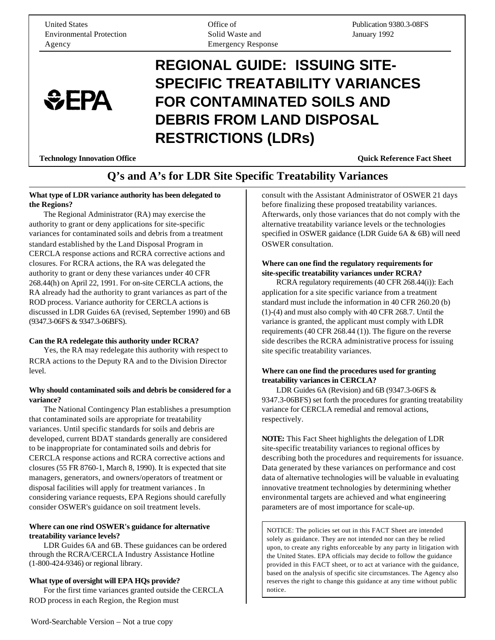United States Environmental Protection Agency

 $EPA$ 

Office of Solid Waste and Emergency Response Publication 9380.3-08FS January 1992

# **REGIONAL GUIDE: ISSUING SITE-SPECIFIC TREATABILITY VARIANCES FOR CONTAMINATED SOILS AND DEBRIS FROM LAND DISPOSAL RESTRICTIONS (LDRs)**

**Technology Innovation Office Sheet Act Sheet Act Sheet Act Sheet Act Sheet Act Sheet Act Sheet Act Sheet Act Sheet Act Sheet Act Sheet Act Sheet Act Sheet Act Sheet Act Sheet Act Sheet Act Sheet Act Sheet Act Sheet Act Sh** 

### **Q's and A's for LDR Site Specific Treatability Variances**

#### **What type of LDR variance authority has been delegated to the Regions?**

The Regional Administrator (RA) may exercise the authority to grant or deny applications for site-specific variances for contaminated soils and debris from a treatment standard established by the Land Disposal Program in CERCLA response actions and RCRA corrective actions and closures. For RCRA actions, the RA was delegated the authority to grant or deny these variances under 40 CFR 268.44(h) on April 22, 1991. For on-site CERCLA actions, the RA already had the authority to grant variances as part of the ROD process. Variance authority for CERCLA actions is discussed in LDR Guides 6A (revised, September 1990) and 6B (9347.3-06FS & 9347.3-06BFS).

#### **Can the RA redelegate this authority under RCRA?**

Yes, the RA may redelegate this authority with respect to RCRA actions to the Deputy RA and to the Division Director level.

#### **Why should contaminated soils and debris be considered for a variance?**

The National Contingency Plan establishes a presumption that contaminated soils are appropriate for treatability variances. Until specific standards for soils and debris are developed, current BDAT standards generally are considered to be inappropriate for contaminated soils and debris for CERCLA response actions and RCRA corrective actions and closures (55 FR 8760-1, March 8, 1990). It is expected that site managers, generators, and owners/operators of treatment or disposal facilities will apply for treatment variances . In considering variance requests, EPA Regions should carefully consider OSWER's guidance on soil treatment levels.

#### **Where can one rind OSWER's guidance for alternative treatability variance levels?**

LDR Guides 6A and 6B. These guidances can be ordered through the RCRA/CERCLA Industry Assistance Hotline (1-800-424-9346) or regional library.

#### **What type of oversight will EPA HQs provide?**

For the first time variances granted outside the CERCLA ROD process in each Region, the Region must

consult with the Assistant Administrator of OSWER 21 days before finalizing these proposed treatability variances. Afterwards, only those variances that do not comply with the alternative treatability variance levels or the technologies specified in OSWER gaidance (LDR Guide 6A & 6B) will need OSWER consultation.

#### **Where can one find the regulatory requirements for site-specific treatability variances under RCRA?**

RCRA regulatory requirements (40 CFR 268.44(i)): Each application for a site specific variance from a treatment standard must include the information in 40 CFR 260.20 (b) (1)-(4) and must also comply with 40 CFR 268.7. Until the variance is granted, the applicant must comply with LDR requirements (40 CFR 268.44 (1)). The figure on the reverse side describes the RCRA administrative process for issuing site specific treatability variances.

#### **Where can one find the procedures used for granting treatability variances in CERCLA?**

LDR Guides 6A (Revision) and 6B (9347.3-06FS & 9347.3-06BFS) set forth the procedures for granting treatability variance for CERCLA remedial and removal actions, respectively.

**NOTE:** This Fact Sheet highlights the delegation of LDR site-specific treatability variances to regional offices by describing both the procedures and requirements for issuance. Data generated by these variances on performance and cost data of alternative technologies will be valuable in evaluating innovative treatment technologies by determining whether environmental targets are achieved and what engineering parameters are of most importance for scale-up.

NOTICE: The policies set out in this FACT Sheet are intended solely as guidance. They are not intended nor can they be relied upon, to create any rights enforceable by any party in litigation with the United States. EPA officials may decide to follow the guidance provided in this FACT sheet, or to act at variance with the guidance, based on the analysis of specific site circumstances. The Agency also reserves the right to change this guidance at any time without public notice.